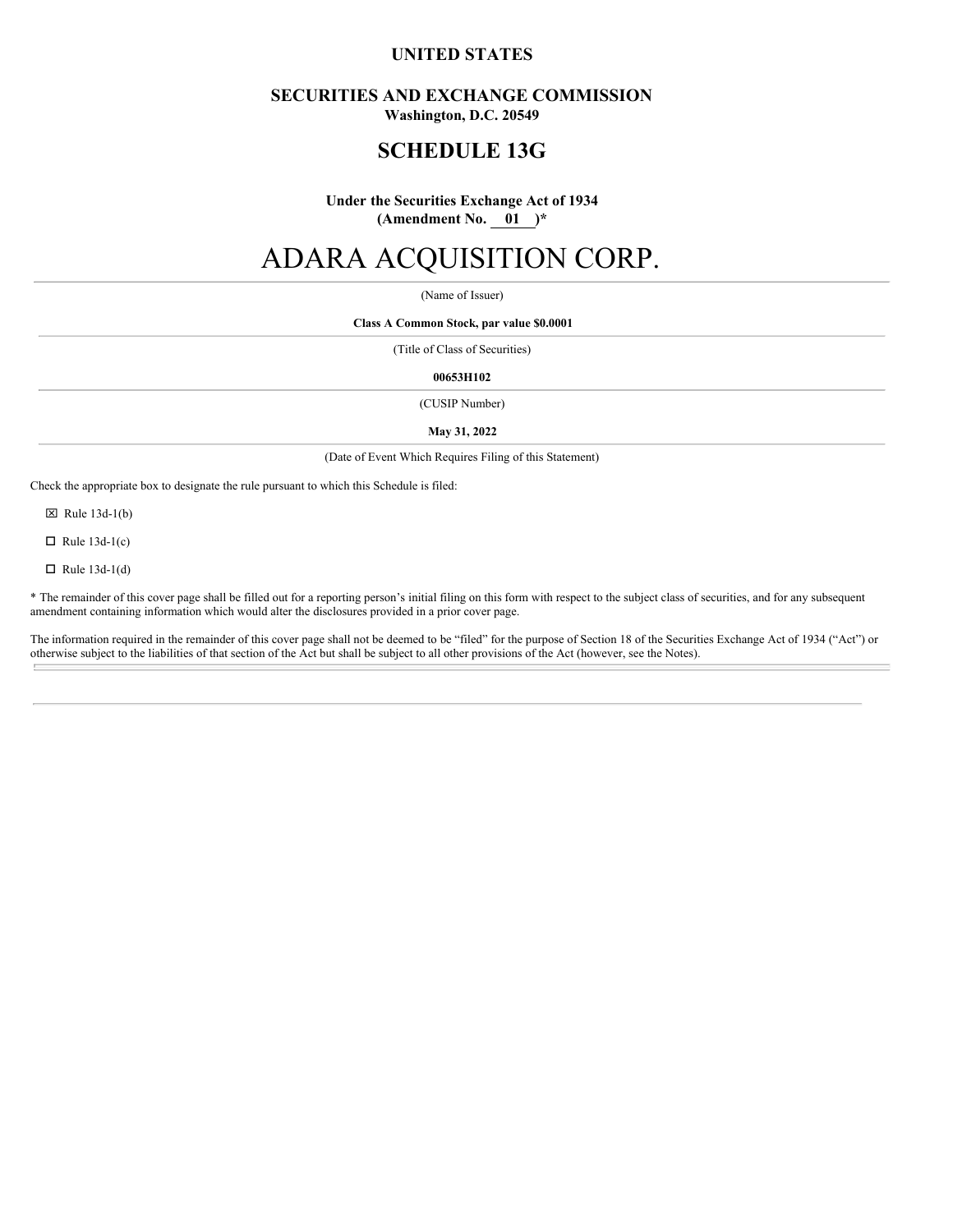# **UNITED STATES**

# **SECURITIES AND EXCHANGE COMMISSION**

**Washington, D.C. 20549**

# **SCHEDULE 13G**

**Under the Securities Exchange Act of 1934 (Amendment No. 01 )\***

# ADARA ACQUISITION CORP.

(Name of Issuer)

**Class A Common Stock, par value \$0.0001**

(Title of Class of Securities)

**00653H102**

(CUSIP Number)

**May 31, 2022**

(Date of Event Which Requires Filing of this Statement)

Check the appropriate box to designate the rule pursuant to which this Schedule is filed:

 $\boxtimes$  Rule 13d-1(b)

 $\Box$  Rule 13d-1(c)

 $\Box$  Rule 13d-1(d)

\* The remainder of this cover page shall be filled out for a reporting person's initial filing on this form with respect to the subject class of securities, and for any subsequent amendment containing information which would alter the disclosures provided in a prior cover page.

The information required in the remainder of this cover page shall not be deemed to be "filed" for the purpose of Section 18 of the Securities Exchange Act of 1934 ("Act") or otherwise subject to the liabilities of that section of the Act but shall be subject to all other provisions of the Act (however, see the Notes).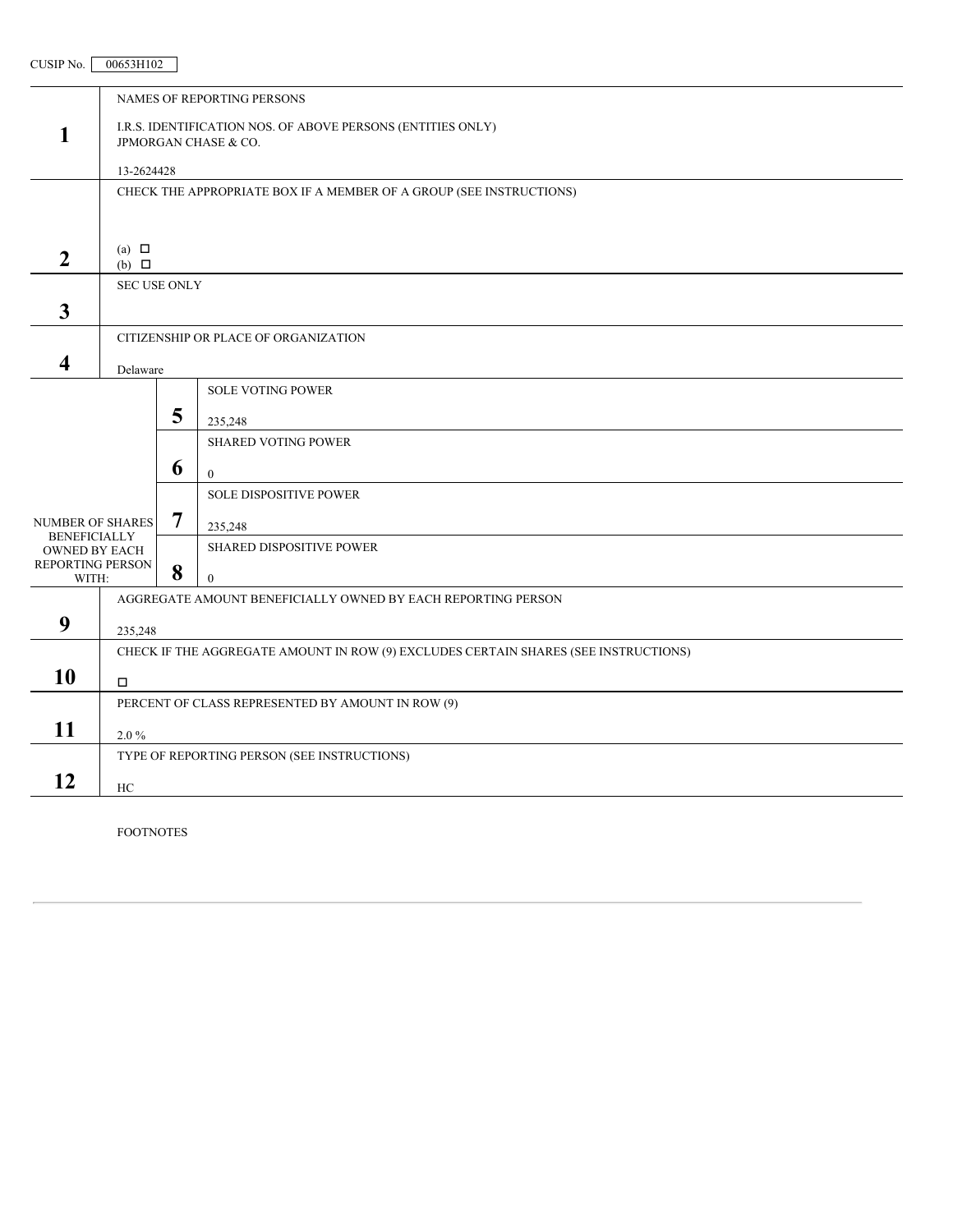# CUSIP No. 00653H102

FOOTNOTES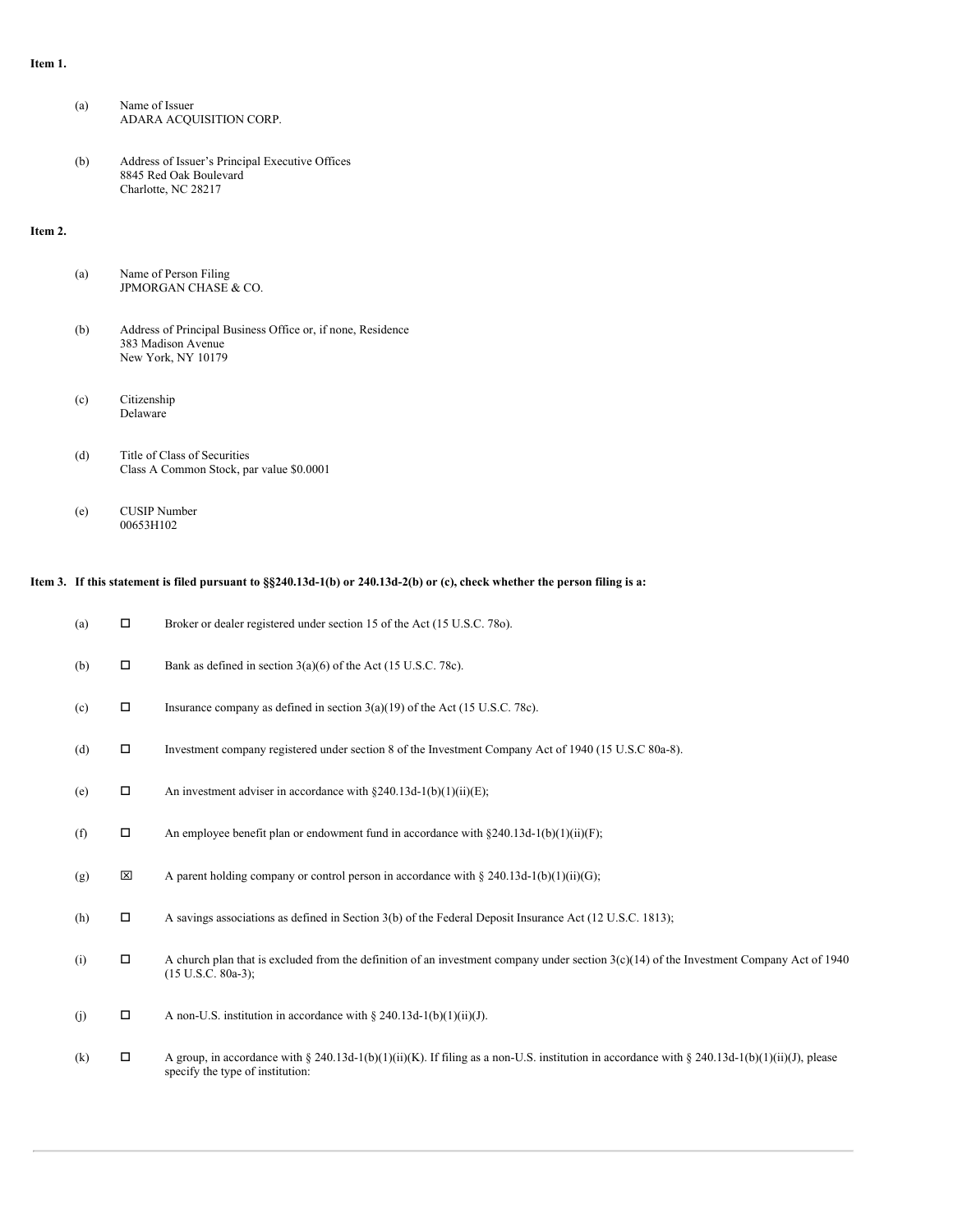#### **Item 1.**

| (a) | Name of Issuer          |
|-----|-------------------------|
|     | ADARA ACOUISITION CORP. |

(b) Address of Issuer's Principal Executive Offices 8845 Red Oak Boulevard Charlotte, NC 28217

# **Item 2.**

| (a) | Name of Person Filing |  |
|-----|-----------------------|--|
|     | JPMORGAN CHASE & CO.  |  |
|     |                       |  |

- (b) Address of Principal Business Office or, if none, Residence 383 Madison Avenue New York, NY 10179
- (c) Citizenship Delaware
- (d) Title of Class of Securities Class A Common Stock, par value \$0.0001
- (e) CUSIP Number 00653H102

# Item 3. If this statement is filed pursuant to §§240.13d-1(b) or 240.13d-2(b) or (c), check whether the person filing is a:

| (a) | □      | Broker or dealer registered under section 15 of the Act (15 U.S.C. 780).                                                                                                          |
|-----|--------|-----------------------------------------------------------------------------------------------------------------------------------------------------------------------------------|
| (b) | $\Box$ | Bank as defined in section $3(a)(6)$ of the Act (15 U.S.C. 78c).                                                                                                                  |
| (c) | П      | Insurance company as defined in section $3(a)(19)$ of the Act (15 U.S.C. 78c).                                                                                                    |
| (d) | П      | Investment company registered under section 8 of the Investment Company Act of 1940 (15 U.S.C 80a-8).                                                                             |
| (e) | $\Box$ | An investment adviser in accordance with $\S 240.13d-1(b)(1)(ii)(E)$ ;                                                                                                            |
| (f) | П      | An employee benefit plan or endowment fund in accordance with $8240.13d-1(b)(1)(ii)(F)$ ;                                                                                         |
| (g) | ×      | A parent holding company or control person in accordance with § 240.13d-1(b)(1)(ii)(G);                                                                                           |
| (h) | $\Box$ | A savings associations as defined in Section 3(b) of the Federal Deposit Insurance Act (12 U.S.C. 1813);                                                                          |
| (i) | П      | A church plan that is excluded from the definition of an investment company under section $3(c)(14)$ of the Investment Company Act of 1940<br>$(15 \text{ U.S.C. } 80a-3);$       |
| (i) | П      | A non-U.S. institution in accordance with $\S 240.13d-1(b)(1)(ii)(J)$ .                                                                                                           |
| (k) | □      | A group, in accordance with § 240.13d-1(b)(1)(ii)(K). If filing as a non-U.S. institution in accordance with § 240.13d-1(b)(1)(ii)(J), please<br>specify the type of institution: |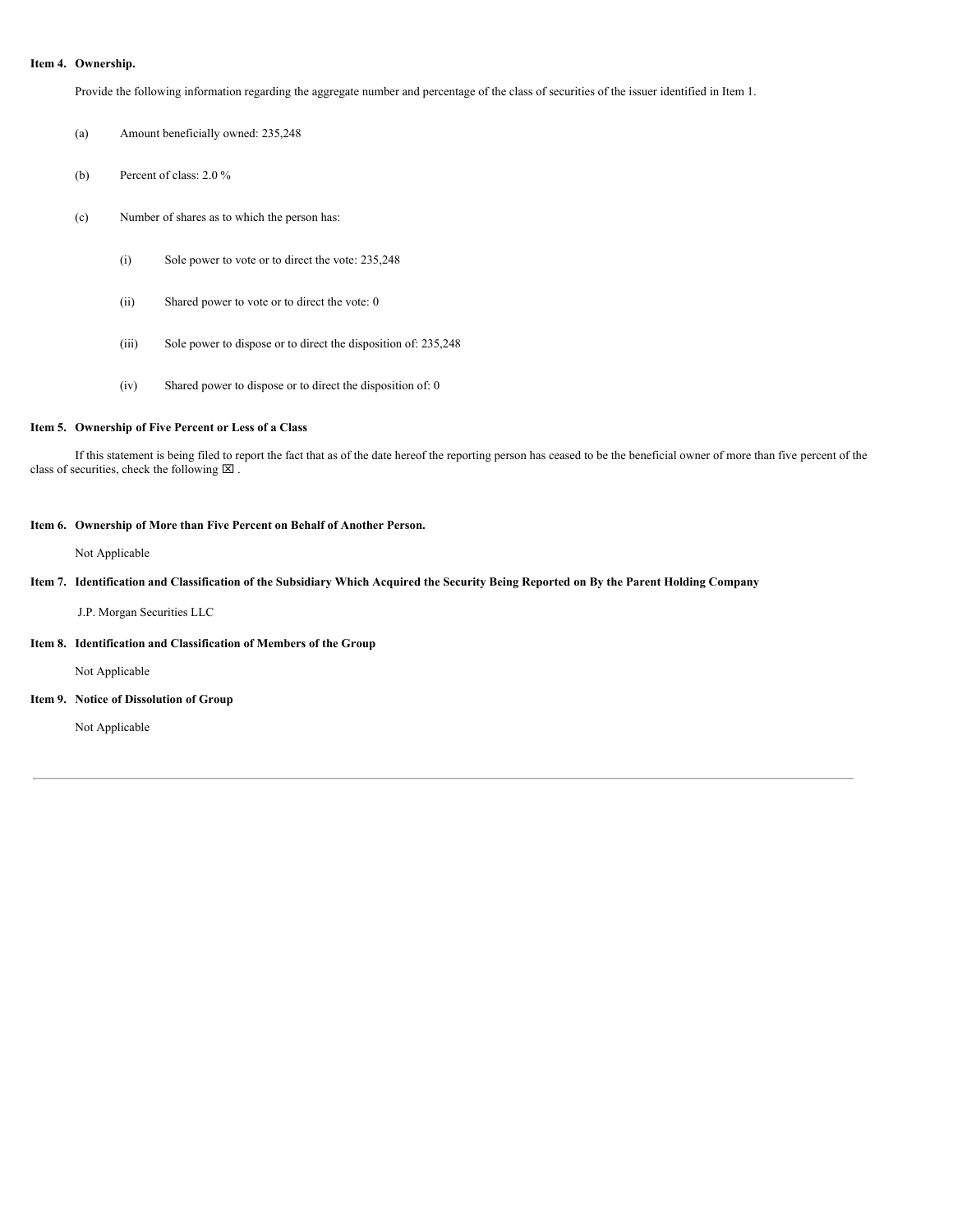#### **Item 4. Ownership.**

Provide the following information regarding the aggregate number and percentage of the class of securities of the issuer identified in Item 1.

(a) Amount beneficially owned: 235,248

- (b) Percent of class: 2.0 %
- (c) Number of shares as to which the person has:
	- (i) Sole power to vote or to direct the vote: 235,248
	- (ii) Shared power to vote or to direct the vote: 0
	- (iii) Sole power to dispose or to direct the disposition of: 235,248
	- (iv) Shared power to dispose or to direct the disposition of: 0

## **Item 5. Ownership of Five Percent or Less of a Class**

If this statement is being filed to report the fact that as of the date hereof the reporting person has ceased to be the beneficial owner of more than five percent of the class of securities, check the following  $\boxtimes$  .

#### **Item 6. Ownership of More than Five Percent on Behalf of Another Person.**

Not Applicable

# Item 7. Identification and Classification of the Subsidiary Which Acquired the Security Being Reported on By the Parent Holding Company

J.P. Morgan Securities LLC

## **Item 8. Identification and Classification of Members of the Group**

Not Applicable

**Item 9. Notice of Dissolution of Group**

Not Applicable